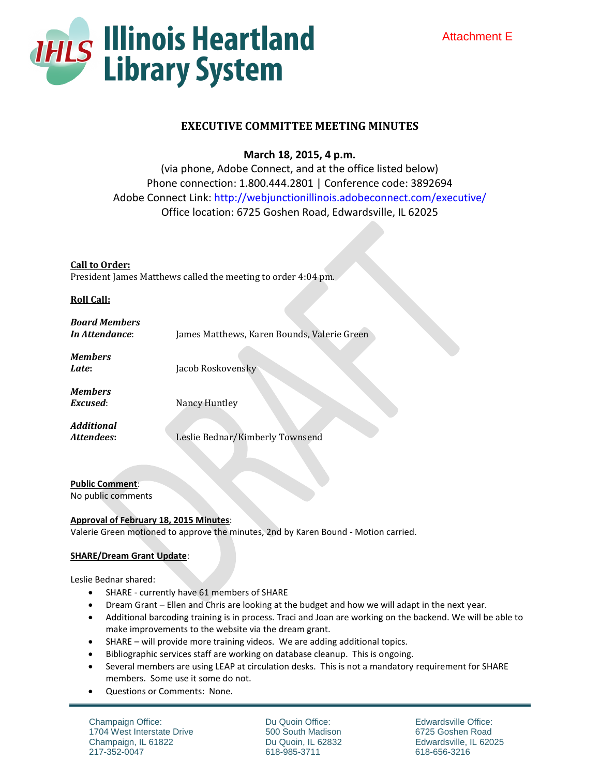

# **EXECUTIVE COMMITTEE MEETING MINUTES**

**March 18, 2015, 4 p.m.**

(via phone, Adobe Connect, and at the office listed below) Phone connection: 1.800.444.2801 | Conference code: 3892694 Adobe Connect Link: http://webjunctionillinois.adobeconnect.com/executive/ Office location: 6725 Goshen Road, Edwardsville, IL 62025

**Call to Order:** President James Matthews called the meeting to order 4:04 pm.

## **Roll Call:**

| <b>Board Members</b><br>In Attendance: | James Matthews, Karen Bounds, Valerie Green |
|----------------------------------------|---------------------------------------------|
| <b>Members</b><br>Late:                | Jacob Roskovensky                           |
| <b>Members</b><br>Excused:             | Nancy Huntley                               |
| Additional<br>Attendees:               | Leslie Bednar/Kimberly Townsend             |

**Public Comment**: No public comments

# **Approval of February 18, 2015 Minutes**:

Valerie Green motioned to approve the minutes, 2nd by Karen Bound - Motion carried.

### **SHARE/Dream Grant Update**:

Leslie Bednar shared:

- SHARE currently have 61 members of SHARE
- Dream Grant Ellen and Chris are looking at the budget and how we will adapt in the next year.
- Additional barcoding training is in process. Traci and Joan are working on the backend. We will be able to make improvements to the website via the dream grant.
- SHARE will provide more training videos. We are adding additional topics.
- Bibliographic services staff are working on database cleanup. This is ongoing.
- Several members are using LEAP at circulation desks. This is not a mandatory requirement for SHARE members. Some use it some do not.
- Questions or Comments: None.

Champaign Office: 1704 West Interstate Drive Champaign, IL 61822 217-352-0047

Du Quoin Office: 500 South Madison Du Quoin, IL 62832 618-985-3711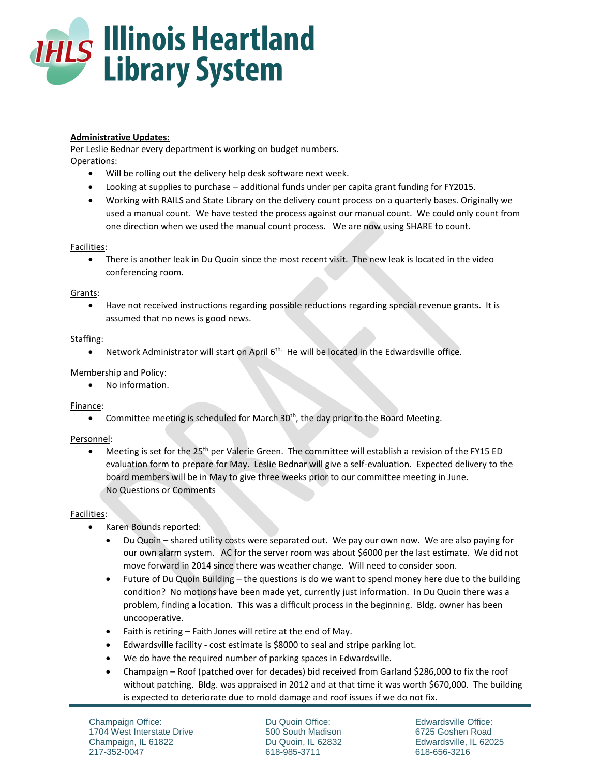

## **Administrative Updates:**

Per Leslie Bednar every department is working on budget numbers. Operations:

- Will be rolling out the delivery help desk software next week.
- Looking at supplies to purchase additional funds under per capita grant funding for FY2015.
- Working with RAILS and State Library on the delivery count process on a quarterly bases. Originally we used a manual count. We have tested the process against our manual count. We could only count from one direction when we used the manual count process. We are now using SHARE to count.

### Facilities:

 There is another leak in Du Quoin since the most recent visit. The new leak is located in the video conferencing room.

#### Grants:

 Have not received instructions regarding possible reductions regarding special revenue grants. It is assumed that no news is good news.

### Staffing:

 $\bullet$  Network Administrator will start on April 6<sup>th.</sup> He will be located in the Edwardsville office.

## Membership and Policy:

No information.

### Finance:

**Committee meeting is scheduled for March 30<sup>th</sup>, the day prior to the Board Meeting.** 

### Personnel:

 $\bullet$  Meeting is set for the 25<sup>th</sup> per Valerie Green. The committee will establish a revision of the FY15 ED evaluation form to prepare for May. Leslie Bednar will give a self-evaluation. Expected delivery to the board members will be in May to give three weeks prior to our committee meeting in June. No Questions or Comments

### Facilities:

- Karen Bounds reported:
	- Du Quoin shared utility costs were separated out. We pay our own now. We are also paying for our own alarm system. AC for the server room was about \$6000 per the last estimate. We did not move forward in 2014 since there was weather change. Will need to consider soon.
	- Future of Du Quoin Building the questions is do we want to spend money here due to the building condition? No motions have been made yet, currently just information. In Du Quoin there was a problem, finding a location. This was a difficult process in the beginning. Bldg. owner has been uncooperative.
	- Faith is retiring Faith Jones will retire at the end of May.
	- Edwardsville facility cost estimate is \$8000 to seal and stripe parking lot.
	- We do have the required number of parking spaces in Edwardsville.
	- Champaign Roof (patched over for decades) bid received from Garland \$286,000 to fix the roof without patching. Bldg. was appraised in 2012 and at that time it was worth \$670,000. The building is expected to deteriorate due to mold damage and roof issues if we do not fix.

Du Quoin Office: 500 South Madison Du Quoin, IL 62832 618-985-3711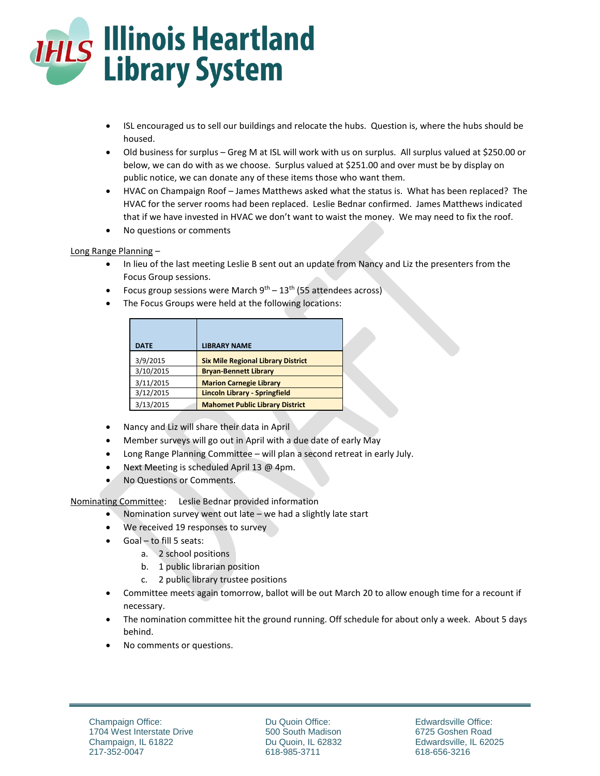

- ISL encouraged us to sell our buildings and relocate the hubs. Question is, where the hubs should be housed.
- Old business for surplus Greg M at ISL will work with us on surplus. All surplus valued at \$250.00 or below, we can do with as we choose. Surplus valued at \$251.00 and over must be by display on public notice, we can donate any of these items those who want them.
- HVAC on Champaign Roof James Matthews asked what the status is. What has been replaced? The HVAC for the server rooms had been replaced. Leslie Bednar confirmed. James Matthews indicated that if we have invested in HVAC we don't want to waist the money. We may need to fix the roof.
- No questions or comments

## Long Range Planning –

- In lieu of the last meeting Leslie B sent out an update from Nancy and Liz the presenters from the Focus Group sessions.
- Focus group sessions were March  $9^{th} 13^{th}$  (55 attendees across)
- The Focus Groups were held at the following locations:

| <b>DATE</b> | <b>LIBRARY NAME</b>                       |
|-------------|-------------------------------------------|
| 3/9/2015    | <b>Six Mile Regional Library District</b> |
| 3/10/2015   | <b>Bryan-Bennett Library</b>              |
| 3/11/2015   | <b>Marion Carnegie Library</b>            |
| 3/12/2015   | <b>Lincoln Library - Springfield</b>      |
| 3/13/2015   | <b>Mahomet Public Library District</b>    |

- Nancy and Liz will share their data in April
- Member surveys will go out in April with a due date of early May
- Long Range Planning Committee will plan a second retreat in early July.
- Next Meeting is scheduled April 13 @ 4pm.
- No Questions or Comments.

Nominating Committee: Leslie Bednar provided information

- Nomination survey went out late we had a slightly late start
- We received 19 responses to survey
- Goal to fill 5 seats:
	- a. 2 school positions
	- b. 1 public librarian position
	- c. 2 public library trustee positions
- Committee meets again tomorrow, ballot will be out March 20 to allow enough time for a recount if necessary.
- The nomination committee hit the ground running. Off schedule for about only a week. About 5 days behind.
- No comments or questions.

Du Quoin Office: 500 South Madison Du Quoin, IL 62832 618-985-3711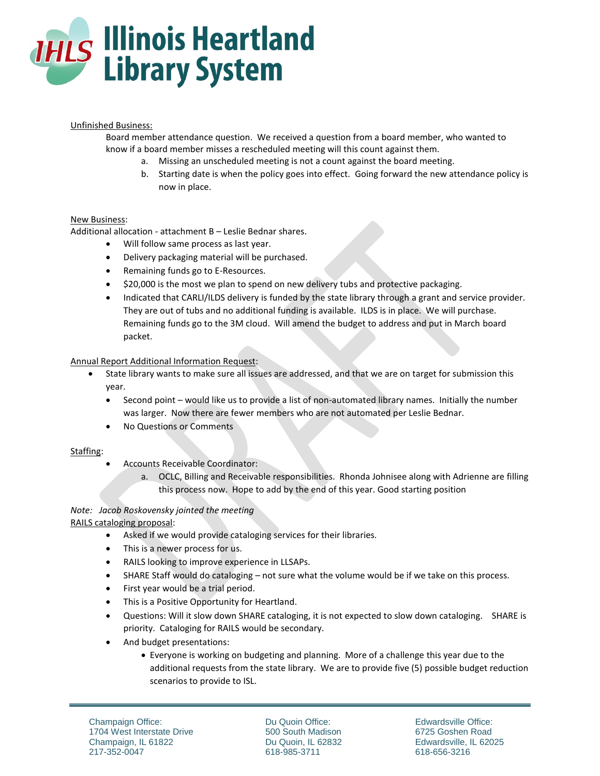

### Unfinished Business:

Board member attendance question. We received a question from a board member, who wanted to know if a board member misses a rescheduled meeting will this count against them.

- a. Missing an unscheduled meeting is not a count against the board meeting.
- b. Starting date is when the policy goes into effect. Going forward the new attendance policy is now in place.

## New Business:

Additional allocation - attachment B – Leslie Bednar shares.

- Will follow same process as last year.
- Delivery packaging material will be purchased.
- Remaining funds go to E-Resources.
- \$20,000 is the most we plan to spend on new delivery tubs and protective packaging.
- Indicated that CARLI/ILDS delivery is funded by the state library through a grant and service provider. They are out of tubs and no additional funding is available. ILDS is in place. We will purchase. Remaining funds go to the 3M cloud. Will amend the budget to address and put in March board packet.

### Annual Report Additional Information Request:

- State library wants to make sure all issues are addressed, and that we are on target for submission this year.
	- Second point would like us to provide a list of non-automated library names. Initially the number was larger. Now there are fewer members who are not automated per Leslie Bednar.
	- No Questions or Comments

### Staffing:

- Accounts Receivable Coordinator:
	- a. OCLC, Billing and Receivable responsibilities. Rhonda Johnisee along with Adrienne are filling this process now. Hope to add by the end of this year. Good starting position

# *Note: Jacob Roskovensky jointed the meeting*

RAILS cataloging proposal:

- Asked if we would provide cataloging services for their libraries.
- This is a newer process for us.
- RAILS looking to improve experience in LLSAPs.
- SHARE Staff would do cataloging not sure what the volume would be if we take on this process.
- First year would be a trial period.
- This is a Positive Opportunity for Heartland.
- Questions: Will it slow down SHARE cataloging, it is not expected to slow down cataloging. SHARE is priority. Cataloging for RAILS would be secondary.
- And budget presentations:
	- Everyone is working on budgeting and planning. More of a challenge this year due to the additional requests from the state library. We are to provide five (5) possible budget reduction scenarios to provide to ISL.

Du Quoin Office: 500 South Madison Du Quoin, IL 62832 618-985-3711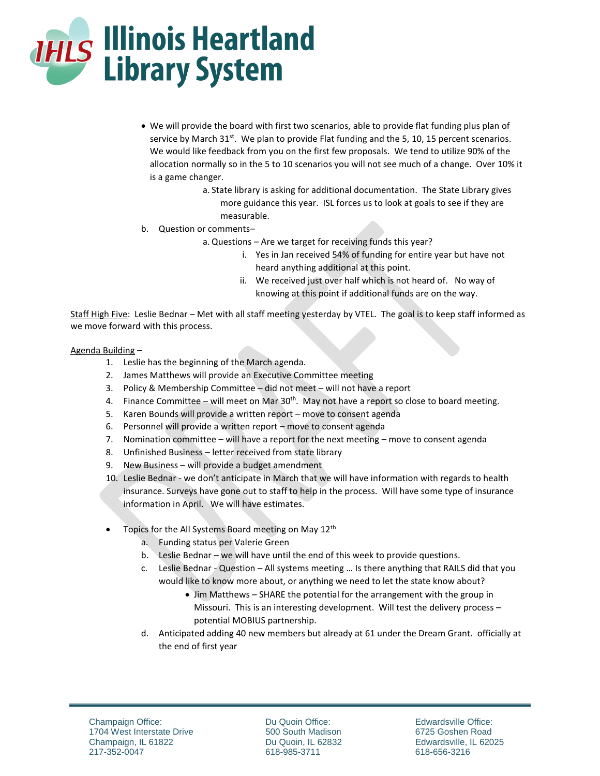

- We will provide the board with first two scenarios, able to provide flat funding plus plan of service by March 31<sup>st</sup>. We plan to provide Flat funding and the 5, 10, 15 percent scenarios. We would like feedback from you on the first few proposals. We tend to utilize 90% of the allocation normally so in the 5 to 10 scenarios you will not see much of a change. Over 10% it is a game changer.
	- a. State library is asking for additional documentation. The State Library gives more guidance this year. ISL forces us to look at goals to see if they are measurable.
- b. Question or comments–
	- a. Questions Are we target for receiving funds this year?
		- i. Yes in Jan received 54% of funding for entire year but have not heard anything additional at this point.
		- ii. We received just over half which is not heard of. No way of knowing at this point if additional funds are on the way.

Staff High Five: Leslie Bednar - Met with all staff meeting yesterday by VTEL. The goal is to keep staff informed as we move forward with this process.

## Agenda Building –

- 1. Leslie has the beginning of the March agenda.
- 2. James Matthews will provide an Executive Committee meeting
- 3. Policy & Membership Committee did not meet will not have a report
- 4. Finance Committee will meet on Mar  $30<sup>th</sup>$ . May not have a report so close to board meeting.
- 5. Karen Bounds will provide a written report move to consent agenda
- 6. Personnel will provide a written report move to consent agenda
- 7. Nomination committee will have a report for the next meeting move to consent agenda
- 8. Unfinished Business letter received from state library
- 9. New Business will provide a budget amendment
- 10. Leslie Bednar we don't anticipate in March that we will have information with regards to health insurance. Surveys have gone out to staff to help in the process. Will have some type of insurance information in April. We will have estimates.
- Topics for the All Systems Board meeting on May 12<sup>th</sup>
	- a. Funding status per Valerie Green
	- b. Leslie Bednar we will have until the end of this week to provide questions.
	- c. Leslie Bednar Question All systems meeting … Is there anything that RAILS did that you would like to know more about, or anything we need to let the state know about?
		- Jim Matthews SHARE the potential for the arrangement with the group in Missouri. This is an interesting development. Will test the delivery process – potential MOBIUS partnership.
	- d. Anticipated adding 40 new members but already at 61 under the Dream Grant. officially at the end of first year

Du Quoin Office: 500 South Madison Du Quoin, IL 62832 618-985-3711